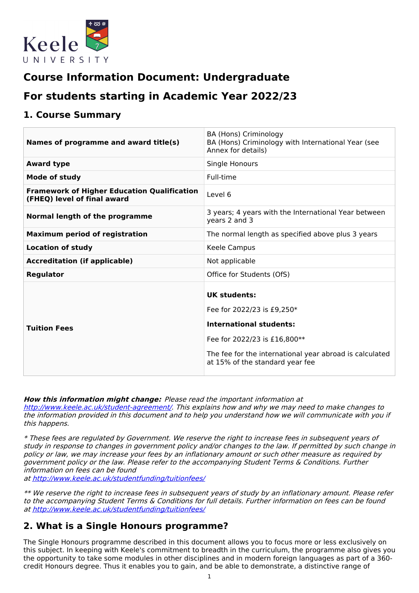

# **Course Information Document: Undergraduate**

# **For students starting in Academic Year 2022/23**

# **1. Course Summary**

| Names of programme and award title(s)                                             | BA (Hons) Criminology<br>BA (Hons) Criminology with International Year (see<br>Annex for details)                                                                                                                 |
|-----------------------------------------------------------------------------------|-------------------------------------------------------------------------------------------------------------------------------------------------------------------------------------------------------------------|
| <b>Award type</b>                                                                 | Single Honours                                                                                                                                                                                                    |
| Mode of study                                                                     | Full-time                                                                                                                                                                                                         |
| <b>Framework of Higher Education Qualification</b><br>(FHEQ) level of final award | Level 6                                                                                                                                                                                                           |
| Normal length of the programme                                                    | 3 years; 4 years with the International Year between<br>years 2 and 3                                                                                                                                             |
| <b>Maximum period of registration</b>                                             | The normal length as specified above plus 3 years                                                                                                                                                                 |
| <b>Location of study</b>                                                          | Keele Campus                                                                                                                                                                                                      |
| <b>Accreditation (if applicable)</b>                                              | Not applicable                                                                                                                                                                                                    |
| <b>Regulator</b>                                                                  | Office for Students (OfS)                                                                                                                                                                                         |
| <b>Tuition Fees</b>                                                               | <b>UK students:</b><br>Fee for 2022/23 is £9,250*<br><b>International students:</b><br>Fee for 2022/23 is £16,800**<br>The fee for the international year abroad is calculated<br>at 15% of the standard year fee |

**How this information might change:** Please read the important information at <http://www.keele.ac.uk/student-agreement/>. This explains how and why we may need to make changes to the information provided in this document and to help you understand how we will communicate with you if this happens.

\* These fees are regulated by Government. We reserve the right to increase fees in subsequent years of study in response to changes in government policy and/or changes to the law. If permitted by such change in policy or law, we may increase your fees by an inflationary amount or such other measure as required by government policy or the law. Please refer to the accompanying Student Terms & Conditions. Further information on fees can be found

at <http://www.keele.ac.uk/studentfunding/tuitionfees/>

\*\* We reserve the right to increase fees in subsequent years of study by an inflationary amount. Please refer to the accompanying Student Terms & Conditions for full details. Further information on fees can be found at <http://www.keele.ac.uk/studentfunding/tuitionfees/>

# **2. What is a Single Honours programme?**

The Single Honours programme described in this document allows you to focus more or less exclusively on this subject. In keeping with Keele's commitment to breadth in the curriculum, the programme also gives you the opportunity to take some modules in other disciplines and in modern foreign languages as part of a 360 credit Honours degree. Thus it enables you to gain, and be able to demonstrate, a distinctive range of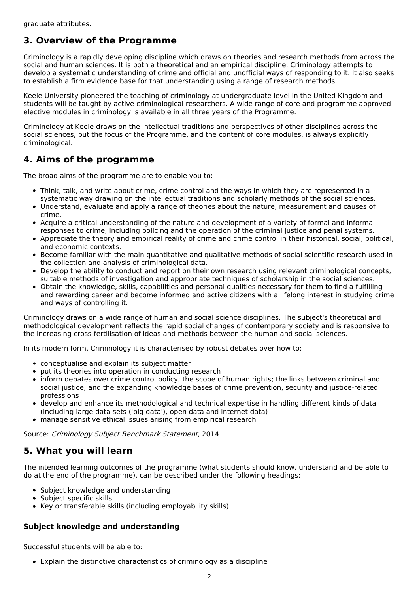# **3. Overview of the Programme**

Criminology is a rapidly developing discipline which draws on theories and research methods from across the social and human sciences. It is both a theoretical and an empirical discipline. Criminology attempts to develop a systematic understanding of crime and official and unofficial ways of responding to it. It also seeks to establish a firm evidence base for that understanding using a range of research methods.

Keele University pioneered the teaching of criminology at undergraduate level in the United Kingdom and students will be taught by active criminological researchers. A wide range of core and programme approved elective modules in criminology is available in all three years of the Programme.

Criminology at Keele draws on the intellectual traditions and perspectives of other disciplines across the social sciences, but the focus of the Programme, and the content of core modules, is always explicitly criminological.

# **4. Aims of the programme**

The broad aims of the programme are to enable you to:

- Think, talk, and write about crime, crime control and the ways in which they are represented in a systematic way drawing on the intellectual traditions and scholarly methods of the social sciences.
- Understand, evaluate and apply a range of theories about the nature, measurement and causes of crime.
- Acquire a critical understanding of the nature and development of a variety of formal and informal responses to crime, including policing and the operation of the criminal justice and penal systems.
- Appreciate the theory and empirical reality of crime and crime control in their historical, social, political, and economic contexts.
- Become familiar with the main quantitative and qualitative methods of social scientific research used in the collection and analysis of criminological data.
- Develop the ability to conduct and report on their own research using relevant criminological concepts, suitable methods of investigation and appropriate techniques of scholarship in the social sciences.
- Obtain the knowledge, skills, capabilities and personal qualities necessary for them to find a fulfilling and rewarding career and become informed and active citizens with a lifelong interest in studying crime and ways of controlling it.

Criminology draws on a wide range of human and social science disciplines. The subject's theoretical and methodological development reflects the rapid social changes of contemporary society and is responsive to the increasing cross-fertilisation of ideas and methods between the human and social sciences.

In its modern form, Criminology it is characterised by robust debates over how to:

- conceptualise and explain its subject matter
- put its theories into operation in conducting research
- inform debates over crime control policy; the scope of human rights; the links between criminal and social justice; and the expanding knowledge bases of crime prevention, security and justice-related professions
- develop and enhance its methodological and technical expertise in handling different kinds of data (including large data sets ('big data'), open data and internet data)
- manage sensitive ethical issues arising from empirical research

Source: Criminology Subject Benchmark Statement, 2014

# **5. What you will learn**

The intended learning outcomes of the programme (what students should know, understand and be able to do at the end of the programme), can be described under the following headings:

- Subject knowledge and understanding
- Subject specific skills
- Key or transferable skills (including employability skills)

## **Subject knowledge and understanding**

Successful students will be able to:

Explain the distinctive characteristics of criminology as a discipline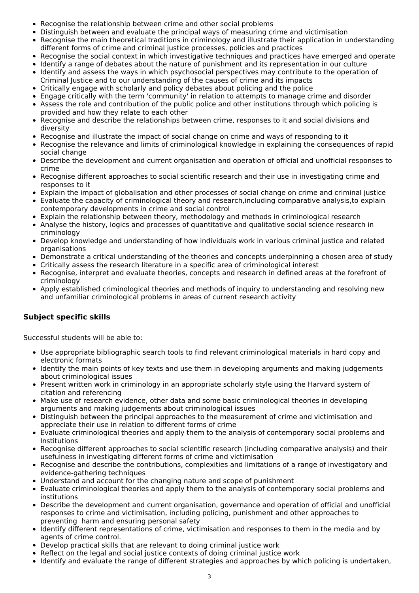- Recognise the relationship between crime and other social problems
- Distinguish between and evaluate the principal ways of measuring crime and victimisation
- Recognise the main theoretical traditions in criminology and illustrate their application in understanding different forms of crime and criminal justice processes, policies and practices
- Recognise the social context in which investigative techniques and practices have emerged and operate
- Identify a range of debates about the nature of punishment and its representation in our culture
- Identify and assess the ways in which psychosocial perspectives may contribute to the operation of  $\bullet$ Criminal Justice and to our understanding of the causes of crime and its impacts
- Critically engage with scholarly and policy debates about policing and the police
- Engage critically with the term 'community' in relation to attempts to manage crime and disorder
- Assess the role and contribution of the public police and other institutions through which policing is  $\bullet$ provided and how they relate to each other
- $\bullet$ Recognise and describe the relationships between crime, responses to it and social divisions and diversity
- Recognise and illustrate the impact of social change on crime and ways of responding to it
- Recognise the relevance and limits of criminological knowledge in explaining the consequences of rapid social change
- Describe the development and current organisation and operation of official and unofficial responses to crime
- Recognise different approaches to social scientific research and their use in investigating crime and  $\bullet$ responses to it
- Explain the impact of globalisation and other processes of social change on crime and criminal justice
- Evaluate the capacity of criminological theory and research,including comparative analysis,to explain  $\bullet$ contemporary developments in crime and social control
- Explain the relationship between theory, methodology and methods in criminological research
- Analyse the history, logics and processes of quantitative and qualitative social science research in  $\bullet$ criminology
- Develop knowledge and understanding of how individuals work in various criminal justice and related organisations
- Demonstrate a critical understanding of the theories and concepts underpinning a chosen area of study
- Critically assess the research literature in a specific area of criminological interest
- Recognise, interpret and evaluate theories, concepts and research in defined areas at the forefront of criminology
- Apply established criminological theories and methods of inquiry to understanding and resolving new and unfamiliar criminological problems in areas of current research activity

## **Subject specific skills**

Successful students will be able to:

- Use appropriate bibliographic search tools to find relevant criminological materials in hard copy and electronic formats
- Identify the main points of key texts and use them in developing arguments and making judgements about criminological issues
- Present written work in criminology in an appropriate scholarly style using the Harvard system of citation and referencing
- Make use of research evidence, other data and some basic criminological theories in developing arguments and making judgements about criminological issues
- Distinguish between the principal approaches to the measurement of crime and victimisation and appreciate their use in relation to different forms of crime
- Evaluate criminological theories and apply them to the analysis of contemporary social problems and Institutions
- Recognise different approaches to social scientific research (including comparative analysis) and their usefulness in investigating different forms of crime and victimisation
- Recognise and describe the contributions, complexities and limitations of a range of investigatory and evidence-gathering techniques
- Understand and account for the changing nature and scope of punishment
- Evaluate criminological theories and apply them to the analysis of contemporary social problems and institutions
- Describe the development and current organisation, governance and operation of official and unofficial responses to crime and victimisation, including policing, punishment and other approaches to preventing harm and ensuring personal safety
- Identify different representations of crime, victimisation and responses to them in the media and by agents of crime control.
- Develop practical skills that are relevant to doing criminal justice work
- Reflect on the legal and social justice contexts of doing criminal justice work
- Identify and evaluate the range of different strategies and approaches by which policing is undertaken,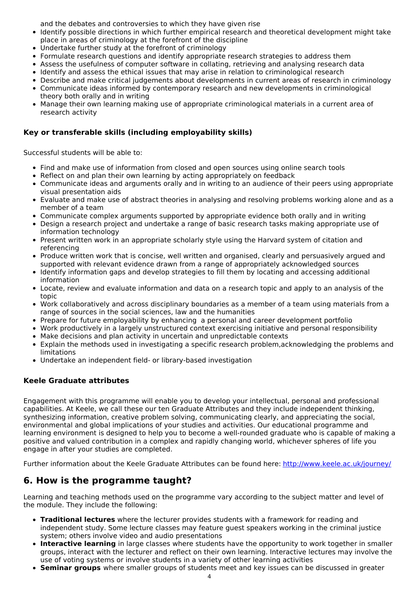and the debates and controversies to which they have given rise

- Identify possible directions in which further empirical research and theoretical development might take place in areas of criminology at the forefront of the discipline
- Undertake further study at the forefront of criminology
- Formulate research questions and identify appropriate research strategies to address them
- Assess the usefulness of computer software in collating, retrieving and analysing research data
- Identify and assess the ethical issues that may arise in relation to criminological research
- Describe and make critical judgements about developments in current areas of research in criminology
- Communicate ideas informed by contemporary research and new developments in criminological theory both orally and in writing
- Manage their own learning making use of appropriate criminological materials in a current area of research activity

## **Key or transferable skills (including employability skills)**

Successful students will be able to:

- Find and make use of information from closed and open sources using online search tools
- Reflect on and plan their own learning by acting appropriately on feedback
- Communicate ideas and arguments orally and in writing to an audience of their peers using appropriate visual presentation aids
- Evaluate and make use of abstract theories in analysing and resolving problems working alone and as a member of a team
- Communicate complex arguments supported by appropriate evidence both orally and in writing
- Design a research project and undertake a range of basic research tasks making appropriate use of information technology
- Present written work in an appropriate scholarly style using the Harvard system of citation and referencing
- Produce written work that is concise, well written and organised, clearly and persuasively argued and supported with relevant evidence drawn from a range of appropriately acknowledged sources
- Identify information gaps and develop strategies to fill them by locating and accessing additional information
- Locate, review and evaluate information and data on a research topic and apply to an analysis of the topic
- Work collaboratively and across disciplinary boundaries as a member of a team using materials from a range of sources in the social sciences, law and the humanities
- Prepare for future employability by enhancing a personal and career development portfolio
- Work productively in a largely unstructured context exercising initiative and personal responsibility
- Make decisions and plan activity in uncertain and unpredictable contexts
- Explain the methods used in investigating a specific research problem,acknowledging the problems and limitations
- Undertake an independent field- or library-based investigation

## **Keele Graduate attributes**

Engagement with this programme will enable you to develop your intellectual, personal and professional capabilities. At Keele, we call these our ten Graduate Attributes and they include independent thinking, synthesizing information, creative problem solving, communicating clearly, and appreciating the social, environmental and global implications of your studies and activities. Our educational programme and learning environment is designed to help you to become a well-rounded graduate who is capable of making a positive and valued contribution in a complex and rapidly changing world, whichever spheres of life you engage in after your studies are completed.

Further information about the Keele Graduate Attributes can be found here: <http://www.keele.ac.uk/journey/>

# **6. How is the programme taught?**

Learning and teaching methods used on the programme vary according to the subject matter and level of the module. They include the following:

- **Traditional lectures** where the lecturer provides students with a framework for reading and independent study. Some lecture classes may feature guest speakers working in the criminal justice system; others involve video and audio presentations
- **Interactive learning** in large classes where students have the opportunity to work together in smaller groups, interact with the lecturer and reflect on their own learning. Interactive lectures may involve the use of voting systems or involve students in a variety of other learning activities
- **Seminar groups** where smaller groups of students meet and key issues can be discussed in greater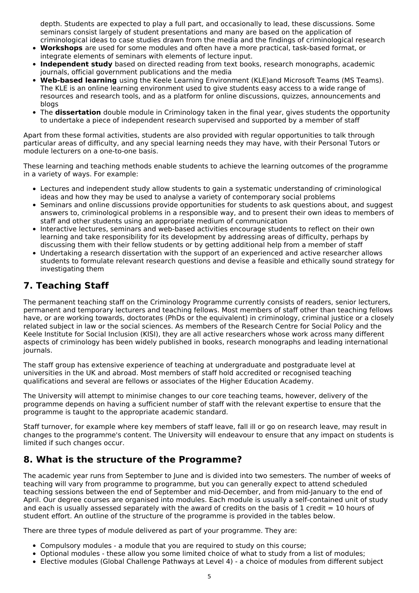depth. Students are expected to play a full part, and occasionally to lead, these discussions. Some seminars consist largely of student presentations and many are based on the application of criminological ideas to case studies drawn from the media and the findings of criminological research

- **Workshops** are used for some modules and often have a more practical, task-based format, or integrate elements of seminars with elements of lecture input.
- **Independent study** based on directed reading from text books, research monographs, academic  $\bullet$ journals, official government publications and the media
- **Web-based learning** using the Keele Learning Environment (KLE)and Microsoft Teams (MS Teams). The KLE is an online learning environment used to give students easy access to a wide range of resources and research tools, and as a platform for online discussions, quizzes, announcements and blogs
- The **dissertation** double module in Criminology taken in the final year, gives students the opportunity to undertake a piece of independent research supervised and supported by a member of staff

Apart from these formal activities, students are also provided with regular opportunities to talk through particular areas of difficulty, and any special learning needs they may have, with their Personal Tutors or module lecturers on a one-to-one basis.

These learning and teaching methods enable students to achieve the learning outcomes of the programme in a variety of ways. For example:

- Lectures and independent study allow students to gain a systematic understanding of criminological ideas and how they may be used to analyse a variety of contemporary social problems
- Seminars and online discussions provide opportunities for students to ask questions about, and suggest answers to, criminological problems in a responsible way, and to present their own ideas to members of staff and other students using an appropriate medium of communication
- Interactive lectures, seminars and web-based activities encourage students to reflect on their own learning and take responsibility for its development by addressing areas of difficulty, perhaps by discussing them with their fellow students or by getting additional help from a member of staff
- Undertaking a research dissertation with the support of an experienced and active researcher allows students to formulate relevant research questions and devise a feasible and ethically sound strategy for investigating them

# **7. Teaching Staff**

The permanent teaching staff on the Criminology Programme currently consists of readers, senior lecturers, permanent and temporary lecturers and teaching fellows. Most members of staff other than teaching fellows have, or are working towards, doctorates (PhDs or the equivalent) in criminology, criminal justice or a closely related subject in law or the social sciences. As members of the Research Centre for Social Policy and the Keele Institute for Social Inclusion (KISI), they are all active researchers whose work across many different aspects of criminology has been widely published in books, research monographs and leading international journals.

The staff group has extensive experience of teaching at undergraduate and postgraduate level at universities in the UK and abroad. Most members of staff hold accredited or recognised teaching qualifications and several are fellows or associates of the Higher Education Academy.

The University will attempt to minimise changes to our core teaching teams, however, delivery of the programme depends on having a sufficient number of staff with the relevant expertise to ensure that the programme is taught to the appropriate academic standard.

Staff turnover, for example where key members of staff leave, fall ill or go on research leave, may result in changes to the programme's content. The University will endeavour to ensure that any impact on students is limited if such changes occur.

# **8. What is the structure of the Programme?**

The academic year runs from September to June and is divided into two semesters. The number of weeks of teaching will vary from programme to programme, but you can generally expect to attend scheduled teaching sessions between the end of September and mid-December, and from mid-January to the end of April. Our degree courses are organised into modules. Each module is usually a self-contained unit of study and each is usually assessed separately with the award of credits on the basis of 1 credit  $= 10$  hours of student effort. An outline of the structure of the programme is provided in the tables below.

There are three types of module delivered as part of your programme. They are:

- Compulsory modules a module that you are required to study on this course;
- Optional modules these allow you some limited choice of what to study from a list of modules;
- Elective modules (Global Challenge Pathways at Level 4) a choice of modules from different subject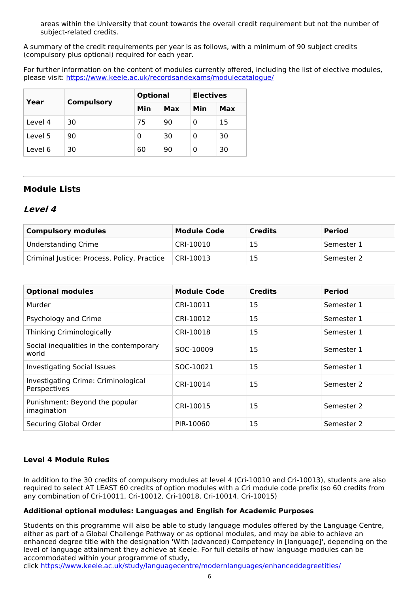areas within the University that count towards the overall credit requirement but not the number of subject-related credits.

A summary of the credit requirements per year is as follows, with a minimum of 90 subject credits (compulsory plus optional) required for each year.

For further information on the content of modules currently offered, including the list of elective modules, please visit: <https://www.keele.ac.uk/recordsandexams/modulecatalogue/>

| Year    | <b>Compulsory</b> | <b>Optional</b> |     | <b>Electives</b> |     |
|---------|-------------------|-----------------|-----|------------------|-----|
|         |                   | Min             | Max | Min              | Max |
| Level 4 | 30                | 75              | 90  | 0                | 15  |
| Level 5 | 90                | 0               | 30  | 0                | 30  |
| Level 6 | 30                | 60              | 90  | O                | 30  |

## **Module Lists**

## **Level 4**

| <b>Compulsory modules</b>                   | <b>Module Code</b> | <b>Credits</b> | <b>Period</b> |
|---------------------------------------------|--------------------|----------------|---------------|
| <b>Understanding Crime</b>                  | CRI-10010          | 15             | Semester 1    |
| Criminal Justice: Process, Policy, Practice | CRI-10013          | 15             | Semester 2    |

| <b>Optional modules</b>                             | <b>Module Code</b> | <b>Credits</b> | <b>Period</b> |
|-----------------------------------------------------|--------------------|----------------|---------------|
| Murder                                              | CRI-10011          | 15             | Semester 1    |
| Psychology and Crime                                | CRI-10012          | 15             | Semester 1    |
| Thinking Criminologically                           | CRI-10018          | 15             | Semester 1    |
| Social inequalities in the contemporary<br>world    | SOC-10009          | 15             | Semester 1    |
| <b>Investigating Social Issues</b>                  | SOC-10021          | 15             | Semester 1    |
| Investigating Crime: Criminological<br>Perspectives | CRI-10014          | 15             | Semester 2    |
| Punishment: Beyond the popular<br>imagination       | CRI-10015          | 15             | Semester 2    |
| Securing Global Order                               | PIR-10060          | 15             | Semester 2    |

## **Level 4 Module Rules**

In addition to the 30 credits of compulsory modules at level 4 (Cri-10010 and Cri-10013), students are also required to select AT LEAST 60 credits of option modules with a Cri module code prefix (so 60 credits from any combination of Cri-10011, Cri-10012, Cri-10018, Cri-10014, Cri-10015)

### **Additional optional modules: Languages and English for Academic Purposes**

Students on this programme will also be able to study language modules offered by the Language Centre, either as part of a Global Challenge Pathway or as optional modules, and may be able to achieve an enhanced degree title with the designation 'With (advanced) Competency in [language]', depending on the level of language attainment they achieve at Keele. For full details of how language modules can be accommodated within your programme of study,

click <https://www.keele.ac.uk/study/languagecentre/modernlanguages/enhanceddegreetitles/>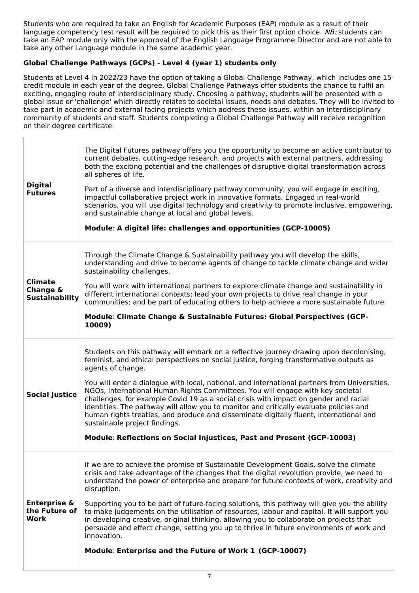Students who are required to take an English for Academic Purposes (EAP) module as a result of their language competency test result will be required to pick this as their first option choice. NB: students can take an EAP module only with the approval of the English Language Programme Director and are not able to take any other Language module in the same academic year.

## **Global Challenge Pathways (GCPs) - Level 4 (year 1) students only**

Students at Level 4 in 2022/23 have the option of taking a Global Challenge Pathway, which includes one 15 credit module in each year of the degree. Global Challenge Pathways offer students the chance to fulfil an exciting, engaging route of interdisciplinary study. Choosing a pathway, students will be presented with a global issue or 'challenge' which directly relates to societal issues, needs and debates. They will be invited to take part in academic and external facing projects which address these issues, within an interdisciplinary community of students and staff. Students completing a Global Challenge Pathway will receive recognition on their degree certificate.

| <b>Digital</b><br><b>Futures</b>                        | The Digital Futures pathway offers you the opportunity to become an active contributor to<br>current debates, cutting-edge research, and projects with external partners, addressing<br>both the exciting potential and the challenges of disruptive digital transformation across<br>all spheres of life.<br>Part of a diverse and interdisciplinary pathway community, you will engage in exciting,<br>impactful collaborative project work in innovative formats. Engaged in real-world<br>scenarios, you will use digital technology and creativity to promote inclusive, empowering,<br>and sustainable change at local and global levels.<br>Module: A digital life: challenges and opportunities (GCP-10005)                                                               |
|---------------------------------------------------------|-----------------------------------------------------------------------------------------------------------------------------------------------------------------------------------------------------------------------------------------------------------------------------------------------------------------------------------------------------------------------------------------------------------------------------------------------------------------------------------------------------------------------------------------------------------------------------------------------------------------------------------------------------------------------------------------------------------------------------------------------------------------------------------|
| <b>Climate</b><br>Change &<br><b>Sustainability</b>     | Through the Climate Change & Sustainability pathway you will develop the skills,<br>understanding and drive to become agents of change to tackle climate change and wider<br>sustainability challenges.<br>You will work with international partners to explore climate change and sustainability in<br>different international contexts; lead your own projects to drive real change in your<br>communities; and be part of educating others to help achieve a more sustainable future.<br>Module: Climate Change & Sustainable Futures: Global Perspectives (GCP-<br>10009)                                                                                                                                                                                                     |
| <b>Social Justice</b>                                   | Students on this pathway will embark on a reflective journey drawing upon decolonising,<br>feminist, and ethical perspectives on social justice, forging transformative outputs as<br>agents of change.<br>You will enter a dialogue with local, national, and international partners from Universities,<br>NGOs, International Human Rights Committees. You will engage with key societal<br>challenges, for example Covid 19 as a social crisis with impact on gender and racial<br>identities. The pathway will allow you to monitor and critically evaluate policies and<br>human rights treaties, and produce and disseminate digitally fluent, international and<br>sustainable project findings.<br>Module: Reflections on Social Injustices, Past and Present (GCP-10003) |
| <b>Enterprise &amp;</b><br>the Future of<br><b>Work</b> | If we are to achieve the promise of Sustainable Development Goals, solve the climate<br>crisis and take advantage of the changes that the digital revolution provide, we need to<br>understand the power of enterprise and prepare for future contexts of work, creativity and<br>disruption.<br>Supporting you to be part of future-facing solutions, this pathway will give you the ability<br>to make judgements on the utilisation of resources, labour and capital. It will support you<br>in developing creative, original thinking, allowing you to collaborate on projects that<br>persuade and effect change, setting you up to thrive in future environments of work and<br>innovation.<br>Module: Enterprise and the Future of Work 1 (GCP-10007)                      |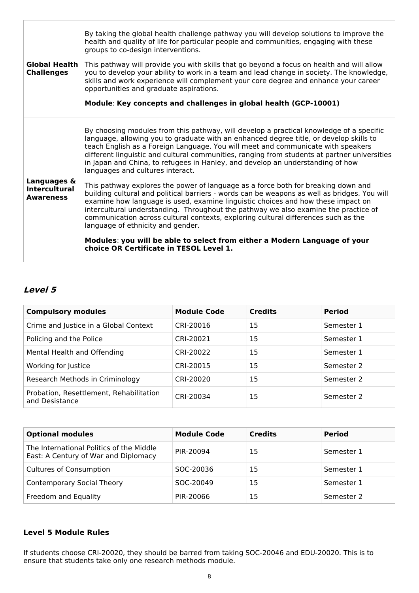| <b>Global Health</b><br><b>Challenges</b> | By taking the global health challenge pathway you will develop solutions to improve the<br>health and quality of life for particular people and communities, engaging with these<br>groups to co-design interventions.<br>This pathway will provide you with skills that go beyond a focus on health and will allow<br>you to develop your ability to work in a team and lead change in society. The knowledge,<br>skills and work experience will complement your core degree and enhance your career<br>opportunities and graduate aspirations.<br>Module: Key concepts and challenges in global health (GCP-10001) |
|-------------------------------------------|-----------------------------------------------------------------------------------------------------------------------------------------------------------------------------------------------------------------------------------------------------------------------------------------------------------------------------------------------------------------------------------------------------------------------------------------------------------------------------------------------------------------------------------------------------------------------------------------------------------------------|
| Languages &                               | By choosing modules from this pathway, will develop a practical knowledge of a specific<br>language, allowing you to graduate with an enhanced degree title, or develop skills to<br>teach English as a Foreign Language. You will meet and communicate with speakers<br>different linguistic and cultural communities, ranging from students at partner universities<br>in Japan and China, to refugees in Hanley, and develop an understanding of how<br>languages and cultures interact.<br>This pathway explores the power of language as a force both for breaking down and                                      |
| <b>Intercultural</b><br><b>Awareness</b>  | building cultural and political barriers - words can be weapons as well as bridges. You will<br>examine how language is used, examine linguistic choices and how these impact on<br>intercultural understanding. Throughout the pathway we also examine the practice of<br>communication across cultural contexts, exploring cultural differences such as the<br>language of ethnicity and gender.                                                                                                                                                                                                                    |
|                                           | Modules: you will be able to select from either a Modern Language of your<br>choice OR Certificate in TESOL Level 1.                                                                                                                                                                                                                                                                                                                                                                                                                                                                                                  |

# **Level 5**

| <b>Module Code</b> | <b>Credits</b> | <b>Period</b> |
|--------------------|----------------|---------------|
| CRI-20016          | 15             | Semester 1    |
| CRI-20021          | 15             | Semester 1    |
| CRI-20022          | 15             | Semester 1    |
| CRI-20015          | 15             | Semester 2    |
| CRI-20020          | 15             | Semester 2    |
| CRI-20034          | 15             | Semester 2    |
|                    |                |               |

| <b>Optional modules</b>                                                          | <b>Module Code</b> | <b>Credits</b> | <b>Period</b> |
|----------------------------------------------------------------------------------|--------------------|----------------|---------------|
| The International Politics of the Middle<br>East: A Century of War and Diplomacy | PIR-20094          | 15             | Semester 1    |
| <b>Cultures of Consumption</b>                                                   | SOC-20036          | 15             | Semester 1    |
| <b>Contemporary Social Theory</b>                                                | SOC-20049          | 15             | Semester 1    |
| Freedom and Equality                                                             | PIR-20066          | 15             | Semester 2    |

## **Level 5 Module Rules**

If students choose CRI-20020, they should be barred from taking SOC-20046 and EDU-20020. This is to ensure that students take only one research methods module.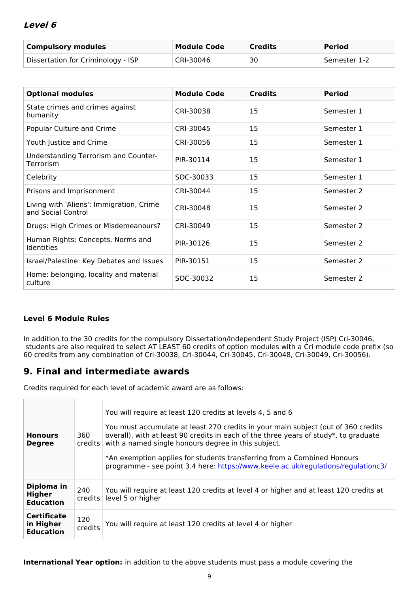## **Level 6**

| <b>Compulsory modules</b>          | <b>Module Code</b> | <b>Credits</b> | <b>Period</b> |
|------------------------------------|--------------------|----------------|---------------|
| Dissertation for Criminology - ISP | CRI-30046          | 30             | Semester 1-2  |

| <b>Optional modules</b>                                        | <b>Module Code</b> | <b>Credits</b> | <b>Period</b> |
|----------------------------------------------------------------|--------------------|----------------|---------------|
| State crimes and crimes against<br>humanity                    | CRI-30038          | 15             | Semester 1    |
| Popular Culture and Crime                                      | CRI-30045          | 15             | Semester 1    |
| Youth Justice and Crime                                        | CRI-30056          | 15             | Semester 1    |
| Understanding Terrorism and Counter-<br>Terrorism              | PIR-30114          | 15             | Semester 1    |
| Celebrity                                                      | SOC-30033          | 15             | Semester 1    |
| Prisons and Imprisonment                                       | CRI-30044          | 15             | Semester 2    |
| Living with 'Aliens': Immigration, Crime<br>and Social Control | CRI-30048          | 15             | Semester 2    |
| Drugs: High Crimes or Misdemeanours?                           | CRI-30049          | 15             | Semester 2    |
| Human Rights: Concepts, Norms and<br><b>Identities</b>         | PIR-30126          | 15             | Semester 2    |
| Israel/Palestine: Key Debates and Issues                       | PIR-30151          | 15             | Semester 2    |
| Home: belonging, locality and material<br>culture              | SOC-30032          | 15             | Semester 2    |

## **Level 6 Module Rules**

In addition to the 30 credits for the compulsory Dissertation/Independent Study Project (ISP) Cri-30046, students are also required to select AT LEAST 60 credits of option modules with a Cri module code prefix (so 60 credits from any combination of Cri-30038, Cri-30044, Cri-30045, Cri-30048, Cri-30049, Cri-30056).

## **9. Final and intermediate awards**

Credits required for each level of academic award are as follows:

| <b>Honours</b><br><b>Degree</b>                     | 360<br>$c$ redits $ $ | You will require at least 120 credits at levels 4, 5 and 6<br>You must accumulate at least 270 credits in your main subject (out of 360 credits<br>overall), with at least 90 credits in each of the three years of study*, to graduate<br>with a named single honours degree in this subject.<br>*An exemption applies for students transferring from a Combined Honours<br>programme - see point 3.4 here: https://www.keele.ac.uk/regulations/regulationc3/ |
|-----------------------------------------------------|-----------------------|----------------------------------------------------------------------------------------------------------------------------------------------------------------------------------------------------------------------------------------------------------------------------------------------------------------------------------------------------------------------------------------------------------------------------------------------------------------|
| Diploma in<br>Higher<br><b>Education</b>            | 240<br>credits        | You will require at least 120 credits at level 4 or higher and at least 120 credits at<br>level 5 or higher                                                                                                                                                                                                                                                                                                                                                    |
| <b>Certificate</b><br>in Higher<br><b>Education</b> | 120<br>credits        | You will require at least 120 credits at level 4 or higher                                                                                                                                                                                                                                                                                                                                                                                                     |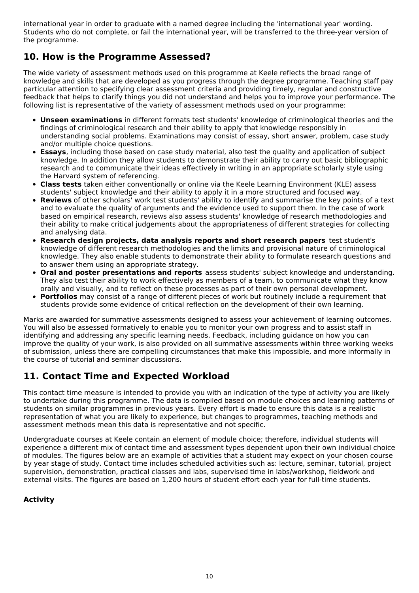international year in order to graduate with a named degree including the 'international year' wording. Students who do not complete, or fail the international year, will be transferred to the three-year version of the programme.

# **10. How is the Programme Assessed?**

The wide variety of assessment methods used on this programme at Keele reflects the broad range of knowledge and skills that are developed as you progress through the degree programme. Teaching staff pay particular attention to specifying clear assessment criteria and providing timely, regular and constructive feedback that helps to clarify things you did not understand and helps you to improve your performance. The following list is representative of the variety of assessment methods used on your programme:

- **Unseen examinations** in different formats test students' knowledge of criminological theories and the findings of criminological research and their ability to apply that knowledge responsibly in understanding social problems. Examinations may consist of essay, short answer, problem, case study and/or multiple choice questions.
- **Essays**, including those based on case study material, also test the quality and application of subject knowledge. In addition they allow students to demonstrate their ability to carry out basic bibliographic research and to communicate their ideas effectively in writing in an appropriate scholarly style using the Harvard system of referencing.
- **Class tests** taken either conventionally or online via the Keele Learning Environment (KLE) assess students' subject knowledge and their ability to apply it in a more structured and focused way.
- **Reviews** of other scholars' work test students' ability to identify and summarise the key points of a text and to evaluate the quality of arguments and the evidence used to support them. In the case of work based on empirical research, reviews also assess students' knowledge of research methodologies and their ability to make critical judgements about the appropriateness of different strategies for collecting and analysing data.
- **Research design projects, data analysis reports and short research papers** test student's knowledge of different research methodologies and the limits and provisional nature of criminological knowledge. They also enable students to demonstrate their ability to formulate research questions and to answer them using an appropriate strategy.
- **Oral and poster presentations and reports** assess students' subject knowledge and understanding. They also test their ability to work effectively as members of a team, to communicate what they know orally and visually, and to reflect on these processes as part of their own personal development.
- **Portfolios** may consist of a range of different pieces of work but routinely include a requirement that students provide some evidence of critical reflection on the development of their own learning.

Marks are awarded for summative assessments designed to assess your achievement of learning outcomes. You will also be assessed formatively to enable you to monitor your own progress and to assist staff in identifying and addressing any specific learning needs. Feedback, including guidance on how you can improve the quality of your work, is also provided on all summative assessments within three working weeks of submission, unless there are compelling circumstances that make this impossible, and more informally in the course of tutorial and seminar discussions.

# **11. Contact Time and Expected Workload**

This contact time measure is intended to provide you with an indication of the type of activity you are likely to undertake during this programme. The data is compiled based on module choices and learning patterns of students on similar programmes in previous years. Every effort is made to ensure this data is a realistic representation of what you are likely to experience, but changes to programmes, teaching methods and assessment methods mean this data is representative and not specific.

Undergraduate courses at Keele contain an element of module choice; therefore, individual students will experience a different mix of contact time and assessment types dependent upon their own individual choice of modules. The figures below are an example of activities that a student may expect on your chosen course by year stage of study. Contact time includes scheduled activities such as: lecture, seminar, tutorial, project supervision, demonstration, practical classes and labs, supervised time in labs/workshop, fieldwork and external visits. The figures are based on 1,200 hours of student effort each year for full-time students.

## **Activity**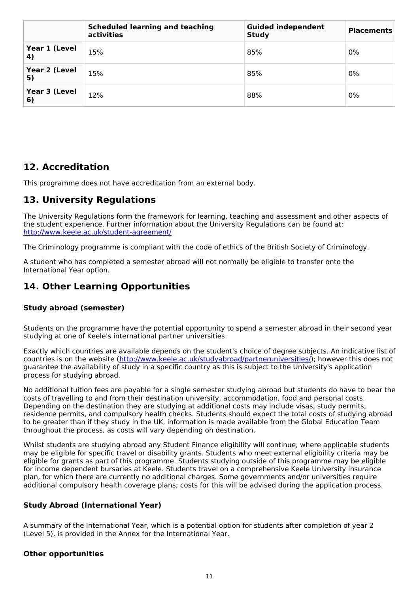|                     | <b>Scheduled learning and teaching</b><br>activities | <b>Guided independent</b><br><b>Study</b> | <b>Placements</b> |
|---------------------|------------------------------------------------------|-------------------------------------------|-------------------|
| Year 1 (Level<br>4) | 15%                                                  | 85%                                       | 0%                |
| Year 2 (Level<br>5) | 15%                                                  | 85%                                       | 0%                |
| Year 3 (Level<br>6) | 12%                                                  | 88%                                       | 0%                |

# **12. Accreditation**

This programme does not have accreditation from an external body.

# **13. University Regulations**

The University Regulations form the framework for learning, teaching and assessment and other aspects of the student experience. Further information about the University Regulations can be found at: <http://www.keele.ac.uk/student-agreement/>

The Criminology programme is compliant with the code of ethics of the British Society of Criminology.

A student who has completed a semester abroad will not normally be eligible to transfer onto the International Year option.

# **14. Other Learning Opportunities**

## **Study abroad (semester)**

Students on the programme have the potential opportunity to spend a semester abroad in their second year studying at one of Keele's international partner universities.

Exactly which countries are available depends on the student's choice of degree subjects. An indicative list of countries is on the website (<http://www.keele.ac.uk/studyabroad/partneruniversities/>); however this does not guarantee the availability of study in a specific country as this is subject to the University's application process for studying abroad.

No additional tuition fees are payable for a single semester studying abroad but students do have to bear the costs of travelling to and from their destination university, accommodation, food and personal costs. Depending on the destination they are studying at additional costs may include visas, study permits, residence permits, and compulsory health checks. Students should expect the total costs of studying abroad to be greater than if they study in the UK, information is made available from the Global Education Team throughout the process, as costs will vary depending on destination.

Whilst students are studying abroad any Student Finance eligibility will continue, where applicable students may be eligible for specific travel or disability grants. Students who meet external eligibility criteria may be eligible for grants as part of this programme. Students studying outside of this programme may be eligible for income dependent bursaries at Keele. Students travel on a comprehensive Keele University insurance plan, for which there are currently no additional charges. Some governments and/or universities require additional compulsory health coverage plans; costs for this will be advised during the application process.

## **Study Abroad (International Year)**

A summary of the International Year, which is a potential option for students after completion of year 2 (Level 5), is provided in the Annex for the International Year.

## **Other opportunities**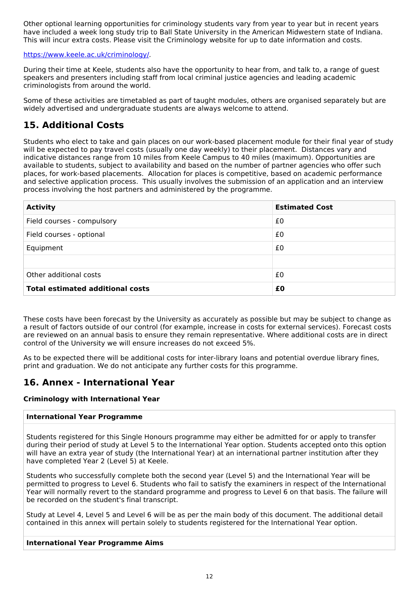Other optional learning opportunities for criminology students vary from year to year but in recent years have included a week long study trip to Ball State University in the American Midwestern state of Indiana. This will incur extra costs. Please visit the Criminology website for up to date information and costs.

### <https://www.keele.ac.uk/criminology/>.

During their time at Keele, students also have the opportunity to hear from, and talk to, a range of guest speakers and presenters including staff from local criminal justice agencies and leading academic criminologists from around the world.

Some of these activities are timetabled as part of taught modules, others are organised separately but are widely advertised and undergraduate students are always welcome to attend.

# **15. Additional Costs**

Students who elect to take and gain places on our work-based placement module for their final year of study will be expected to pay travel costs (usually one day weekly) to their placement. Distances vary and indicative distances range from 10 miles from Keele Campus to 40 miles (maximum). Opportunities are available to students, subject to availability and based on the number of partner agencies who offer such places, for work-based placements. Allocation for places is competitive, based on academic performance and selective application process. This usually involves the submission of an application and an interview process involving the host partners and administered by the programme.

| <b>Activity</b>                         | <b>Estimated Cost</b> |
|-----------------------------------------|-----------------------|
| Field courses - compulsory              | £0                    |
| Field courses - optional                | £0                    |
| Equipment                               | £0                    |
|                                         |                       |
| Other additional costs                  | £0                    |
| <b>Total estimated additional costs</b> | £0                    |

These costs have been forecast by the University as accurately as possible but may be subject to change as a result of factors outside of our control (for example, increase in costs for external services). Forecast costs are reviewed on an annual basis to ensure they remain representative. Where additional costs are in direct control of the University we will ensure increases do not exceed 5%.

As to be expected there will be additional costs for inter-library loans and potential overdue library fines, print and graduation. We do not anticipate any further costs for this programme.

## **16. Annex - International Year**

### **Criminology with International Year**

### **International Year Programme**

Students registered for this Single Honours programme may either be admitted for or apply to transfer during their period of study at Level 5 to the International Year option. Students accepted onto this option will have an extra year of study (the International Year) at an international partner institution after they have completed Year 2 (Level 5) at Keele.

Students who successfully complete both the second year (Level 5) and the International Year will be permitted to progress to Level 6. Students who fail to satisfy the examiners in respect of the International Year will normally revert to the standard programme and progress to Level 6 on that basis. The failure will be recorded on the student's final transcript.

Study at Level 4, Level 5 and Level 6 will be as per the main body of this document. The additional detail contained in this annex will pertain solely to students registered for the International Year option.

### **International Year Programme Aims**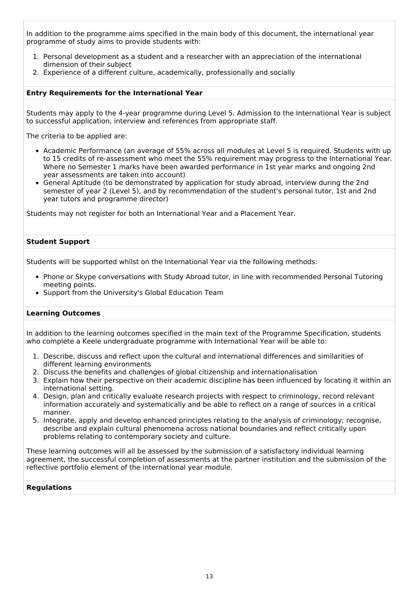In addition to the programme aims specified in the main body of this document, the international year programme of study aims to provide students with:

- 1. Personal development as a student and a researcher with an appreciation of the international dimension of their subject
- 2. Experience of a different culture, academically, professionally and socially

#### **Entry Requirements for the International Year**

Students may apply to the 4-year programme during Level 5. Admission to the International Year is subject to successful application, interview and references from appropriate staff.

The criteria to be applied are:

- Academic Performance (an average of 55% across all modules at Level 5 is required. Students with up to 15 credits of re-assessment who meet the 55% requirement may progress to the International Year. Where no Semester 1 marks have been awarded performance in 1st year marks and ongoing 2nd year assessments are taken into account)
- General Aptitude (to be demonstrated by application for study abroad, interview during the 2nd semester of year 2 (Level 5), and by recommendation of the student's personal tutor, 1st and 2nd year tutors and programme director)

Students may not register for both an International Year and a Placement Year.

#### **Student Support**

Students will be supported whilst on the International Year via the following methods:

- Phone or Skype conversations with Study Abroad tutor, in line with recommended Personal Tutoring meeting points.
- Support from the University's Global Education Team

#### **Learning Outcomes**

In addition to the learning outcomes specified in the main text of the Programme Specification, students who complete a Keele undergraduate programme with International Year will be able to:

- 1. Describe, discuss and reflect upon the cultural and international differences and similarities of different learning environments
- 2. Discuss the benefits and challenges of global citizenship and internationalisation
- 3. Explain how their perspective on their academic discipline has been influenced by locating it within an international setting.
- 4. Design, plan and critically evaluate research projects with respect to criminology, record relevant information accurately and systematically and be able to reflect on a range of sources in a critical manner.
- 5. Integrate, apply and develop enhanced principles relating to the analysis of criminology; recognise, describe and explain cultural phenomena across national boundaries and reflect critically upon problems relating to contemporary society and culture.

These learning outcomes will all be assessed by the submission of a satisfactory individual learning agreement, the successful completion of assessments at the partner institution and the submission of the reflective portfolio element of the international year module.

#### **Regulations**